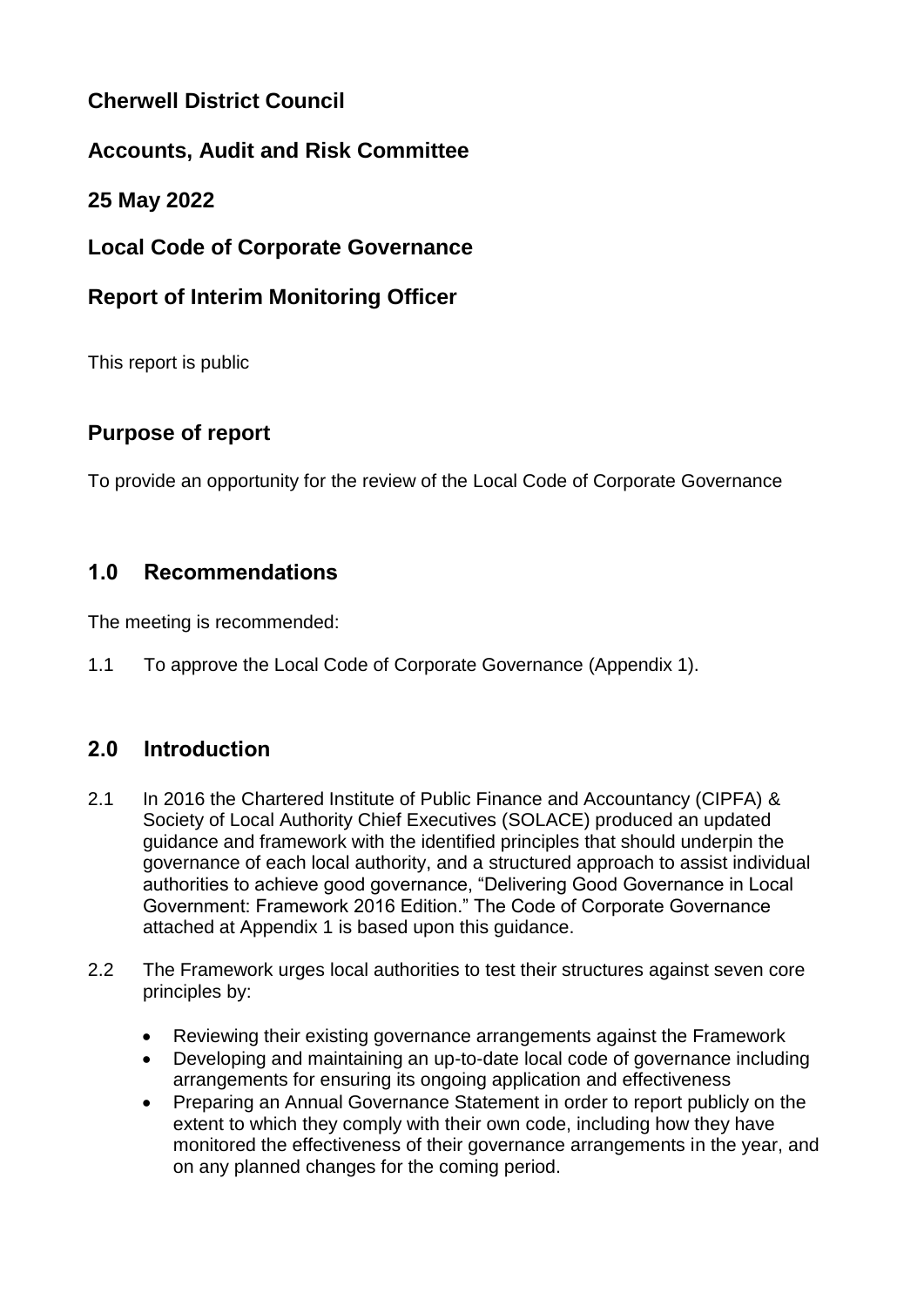# **Cherwell District Council**

# **Accounts, Audit and Risk Committee**

## **25 May 2022**

## **Local Code of Corporate Governance**

# **Report of Interim Monitoring Officer**

This report is public

# **Purpose of report**

To provide an opportunity for the review of the Local Code of Corporate Governance

## **1.0 Recommendations**

The meeting is recommended:

1.1 To approve the Local Code of Corporate Governance (Appendix 1).

# **2.0 Introduction**

- 2.1 In 2016 the Chartered Institute of Public Finance and Accountancy (CIPFA) & Society of Local Authority Chief Executives (SOLACE) produced an updated guidance and framework with the identified principles that should underpin the governance of each local authority, and a structured approach to assist individual authorities to achieve good governance, "Delivering Good Governance in Local Government: Framework 2016 Edition." The Code of Corporate Governance attached at Appendix 1 is based upon this guidance.
- 2.2 The Framework urges local authorities to test their structures against seven core principles by:
	- Reviewing their existing governance arrangements against the Framework
	- Developing and maintaining an up-to-date local code of governance including arrangements for ensuring its ongoing application and effectiveness
	- Preparing an Annual Governance Statement in order to report publicly on the extent to which they comply with their own code, including how they have monitored the effectiveness of their governance arrangements in the year, and on any planned changes for the coming period.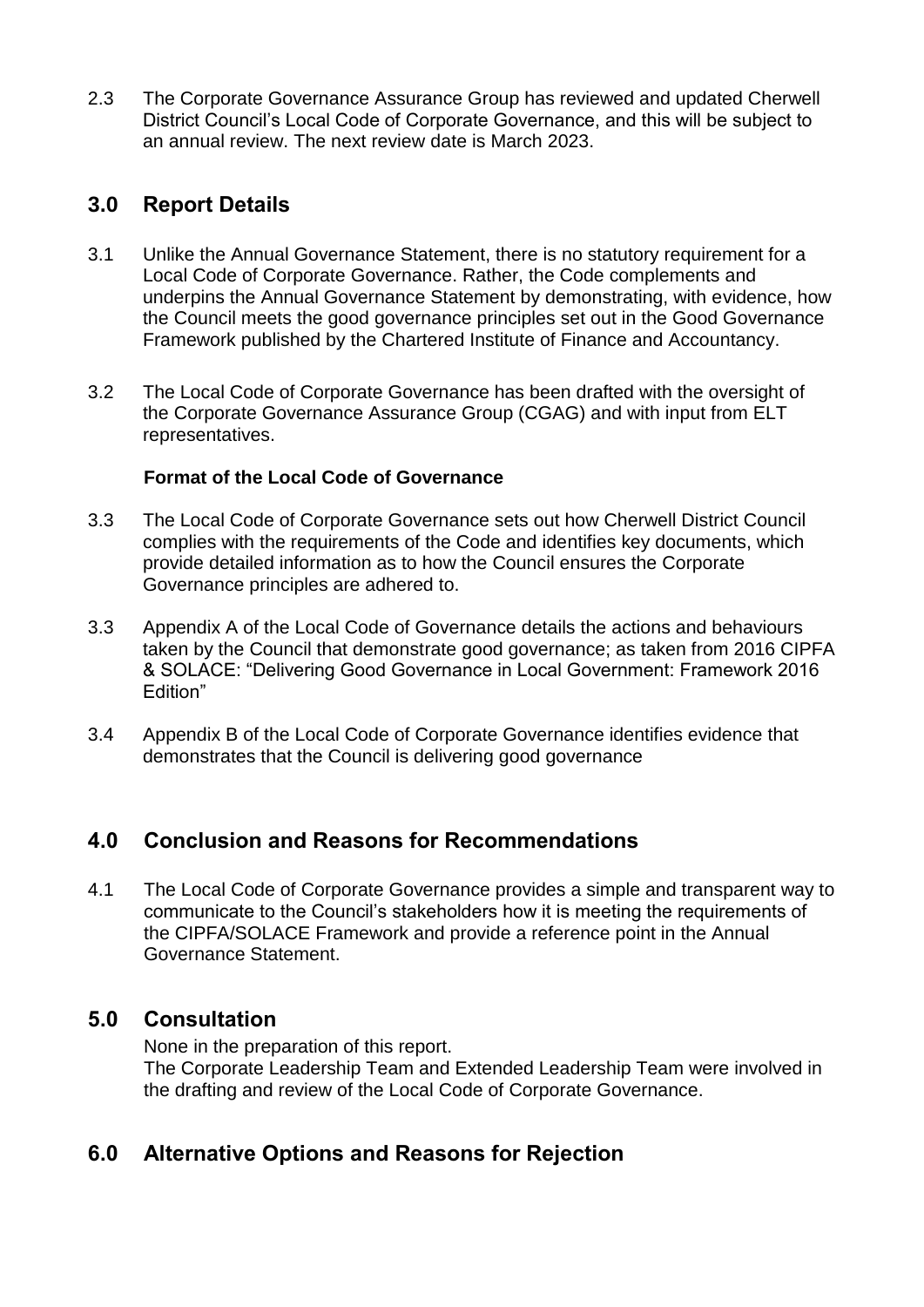2.3 The Corporate Governance Assurance Group has reviewed and updated Cherwell District Council's Local Code of Corporate Governance, and this will be subject to an annual review. The next review date is March 2023.

### **3.0 Report Details**

- 3.1 Unlike the Annual Governance Statement, there is no statutory requirement for a Local Code of Corporate Governance. Rather, the Code complements and underpins the Annual Governance Statement by demonstrating, with evidence, how the Council meets the good governance principles set out in the Good Governance Framework published by the Chartered Institute of Finance and Accountancy.
- 3.2 The Local Code of Corporate Governance has been drafted with the oversight of the Corporate Governance Assurance Group (CGAG) and with input from ELT representatives.

#### **Format of the Local Code of Governance**

- 3.3 The Local Code of Corporate Governance sets out how Cherwell District Council complies with the requirements of the Code and identifies key documents, which provide detailed information as to how the Council ensures the Corporate Governance principles are adhered to.
- 3.3 Appendix A of the Local Code of Governance details the actions and behaviours taken by the Council that demonstrate good governance; as taken from 2016 CIPFA & SOLACE: "Delivering Good Governance in Local Government: Framework 2016 Edition"
- 3.4 Appendix B of the Local Code of Corporate Governance identifies evidence that demonstrates that the Council is delivering good governance

### **4.0 Conclusion and Reasons for Recommendations**

4.1 The Local Code of Corporate Governance provides a simple and transparent way to communicate to the Council's stakeholders how it is meeting the requirements of the CIPFA/SOLACE Framework and provide a reference point in the Annual Governance Statement.

### **5.0 Consultation**

None in the preparation of this report. The Corporate Leadership Team and Extended Leadership Team were involved in the drafting and review of the Local Code of Corporate Governance.

# **6.0 Alternative Options and Reasons for Rejection**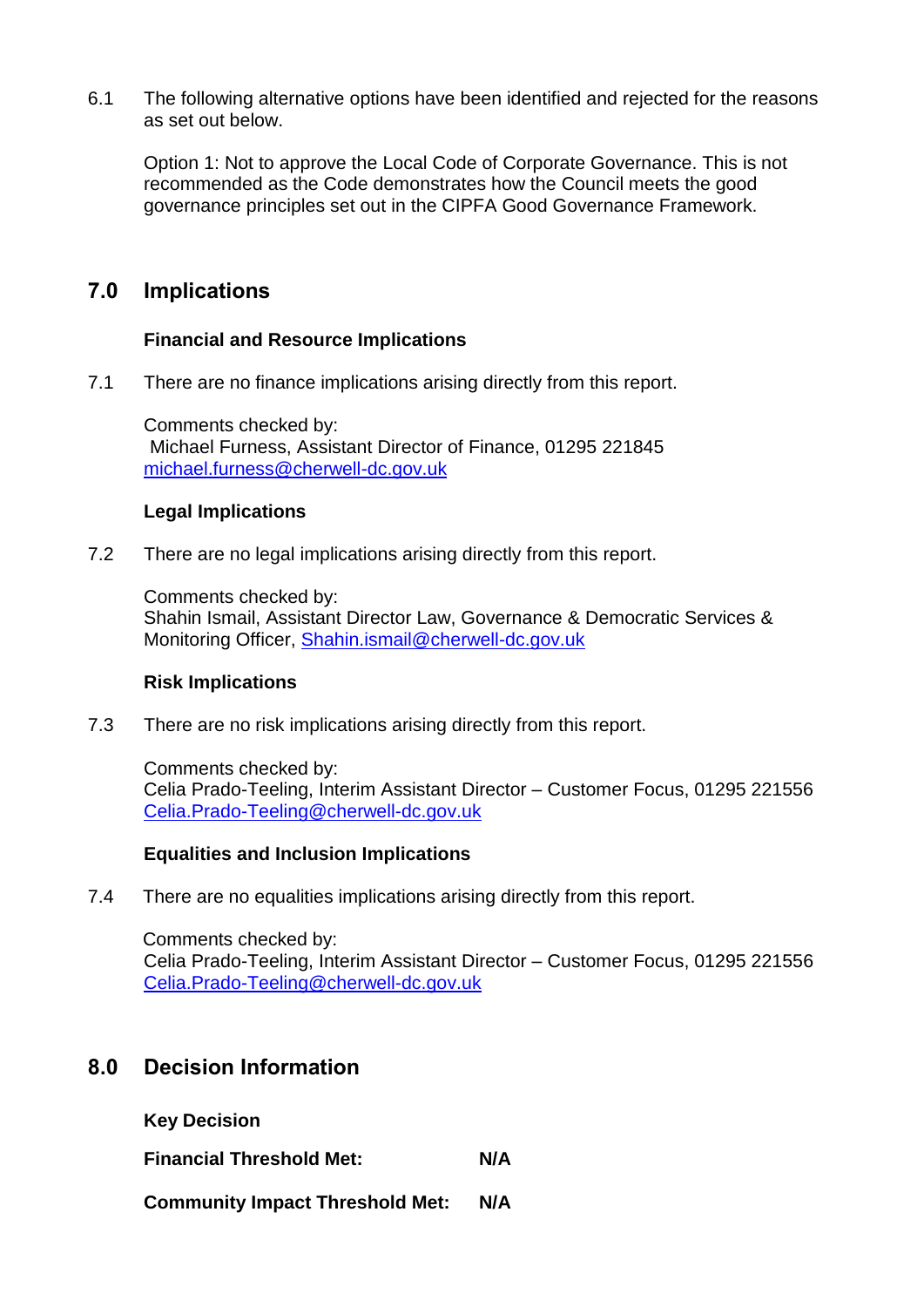6.1 The following alternative options have been identified and rejected for the reasons as set out below.

Option 1: Not to approve the Local Code of Corporate Governance. This is not recommended as the Code demonstrates how the Council meets the good governance principles set out in the CIPFA Good Governance Framework.

### **7.0 Implications**

#### **Financial and Resource Implications**

7.1 There are no finance implications arising directly from this report.

Comments checked by: Michael Furness, Assistant Director of Finance, 01295 221845 [michael.furness@cherwell-dc.gov.uk](mailto:michael.furness@cherwell-dc.gov.uk)

#### **Legal Implications**

7.2 There are no legal implications arising directly from this report.

Comments checked by: Shahin Ismail, Assistant Director Law, Governance & Democratic Services & Monitoring Officer, [Shahin.ismail@cherwell-dc.gov.uk](mailto:Shahin.ismail@cherwell-dc.gov.uk)

#### **Risk Implications**

7.3 There are no risk implications arising directly from this report.

Comments checked by: Celia Prado-Teeling, Interim Assistant Director – Customer Focus, 01295 221556 [Celia.Prado-Teeling@cherwell-dc.gov.uk](mailto:Celia.Prado-Teeling@cherwell-dc.gov.uk)

#### **Equalities and Inclusion Implications**

7.4 There are no equalities implications arising directly from this report.

Comments checked by: Celia Prado-Teeling, Interim Assistant Director – Customer Focus, 01295 221556 [Celia.Prado-Teeling@cherwell-dc.gov.uk](mailto:Celia.Prado-Teeling@cherwell-dc.gov.uk)

### **8.0 Decision Information**

**Key Decision**

**Financial Threshold Met: N/A**

**Community Impact Threshold Met: N/A**